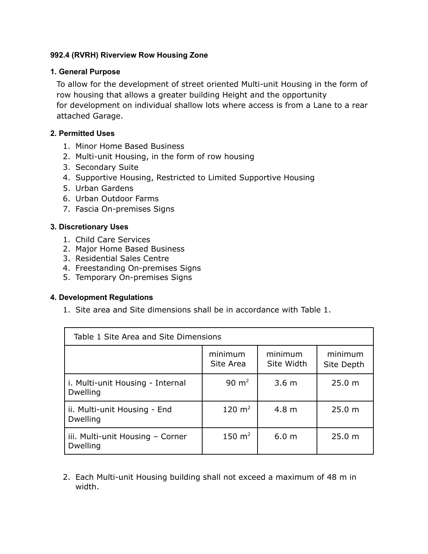# **992.4 (RVRH) Riverview Row Housing Zone**

# **1. General Purpose**

To allow for the development of street oriented Multi-unit Housing in the form of row housing that allows a greater building Height and the opportunity for development on individual shallow lots where access is from a Lane to a rear attached Garage.

## **2. Permitted Uses**

- 1. Minor Home Based Business
- 2. Multi-unit Housing, in the form of row housing
- 3. Secondary Suite
- 4. Supportive Housing, Restricted to Limited Supportive Housing
- 5. Urban Gardens
- 6. Urban Outdoor Farms
- 7. Fascia On-premises Signs

## **3. Discretionary Uses**

- 1. Child Care Services
- 2. Major Home Based Business
- 3. Residential Sales Centre
- 4. Freestanding On-premises Signs
- 5. Temporary On-premises Signs

## **4. Development Regulations**

1. Site area and Site dimensions shall be in accordance with Table 1.

| Table 1 Site Area and Site Dimensions        |                      |                       |                       |  |
|----------------------------------------------|----------------------|-----------------------|-----------------------|--|
|                                              | minimum<br>Site Area | minimum<br>Site Width | minimum<br>Site Depth |  |
| i. Multi-unit Housing - Internal<br>Dwelling | $90 \text{ m}^2$     | 3.6 <sub>m</sub>      | 25.0 m                |  |
| ii. Multi-unit Housing - End<br>Dwelling     | 120 $m2$             | 4.8 <sub>m</sub>      | 25.0 m                |  |
| iii. Multi-unit Housing - Corner<br>Dwelling | 150 $m2$             | 6.0 <sub>m</sub>      | 25.0 m                |  |

2. Each Multi-unit Housing building shall not exceed a maximum of 48 m in width.